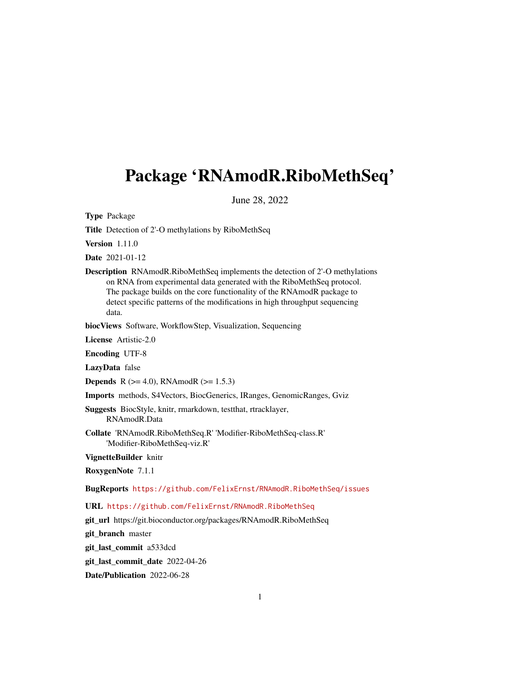## <span id="page-0-0"></span>Package 'RNAmodR.RiboMethSeq'

June 28, 2022

Type Package

Title Detection of 2'-O methylations by RiboMethSeq

Version 1.11.0

Date 2021-01-12

Description RNAmodR.RiboMethSeq implements the detection of 2'-O methylations on RNA from experimental data generated with the RiboMethSeq protocol. The package builds on the core functionality of the RNAmodR package to detect specific patterns of the modifications in high throughput sequencing data.

biocViews Software, WorkflowStep, Visualization, Sequencing

License Artistic-2.0

Encoding UTF-8

LazyData false

**Depends** R ( $>= 4.0$ ), RNAmodR ( $>= 1.5.3$ )

Imports methods, S4Vectors, BiocGenerics, IRanges, GenomicRanges, Gviz

Suggests BiocStyle, knitr, rmarkdown, testthat, rtracklayer, RNAmodR.Data

Collate 'RNAmodR.RiboMethSeq.R' 'Modifier-RiboMethSeq-class.R' 'Modifier-RiboMethSeq-viz.R'

VignetteBuilder knitr

RoxygenNote 7.1.1

BugReports <https://github.com/FelixErnst/RNAmodR.RiboMethSeq/issues>

URL <https://github.com/FelixErnst/RNAmodR.RiboMethSeq>

git\_url https://git.bioconductor.org/packages/RNAmodR.RiboMethSeq

git branch master

git\_last\_commit a533dcd

git\_last\_commit\_date 2022-04-26

Date/Publication 2022-06-28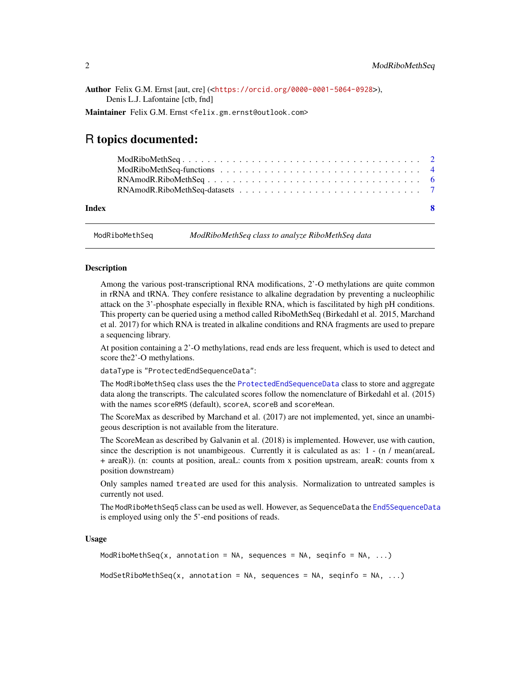<span id="page-1-0"></span>Author Felix G.M. Ernst [aut, cre] (<<https://orcid.org/0000-0001-5064-0928>>), Denis L.J. Lafontaine [ctb, fnd]

Maintainer Felix G.M. Ernst <felix.gm.ernst@outlook.com>

## R topics documented:

| -8 |
|----|
|    |
|    |

ModRiboMethSeq *ModRiboMethSeq class to analyze RiboMethSeq data*

#### **Description**

Among the various post-transcriptional RNA modifications, 2'-O methylations are quite common in rRNA and tRNA. They confere resistance to alkaline degradation by preventing a nucleophilic attack on the 3'-phosphate especially in flexible RNA, which is fascilitated by high pH conditions. This property can be queried using a method called RiboMethSeq (Birkedahl et al. 2015, Marchand et al. 2017) for which RNA is treated in alkaline conditions and RNA fragments are used to prepare a sequencing library.

At position containing a 2'-O methylations, read ends are less frequent, which is used to detect and score the2'-O methylations.

dataType is "ProtectedEndSequenceData":

The ModRiboMethSeq class uses the the [ProtectedEndSequenceData](#page-0-0) class to store and aggregate data along the transcripts. The calculated scores follow the nomenclature of Birkedahl et al. (2015) with the names scoreRMS (default), scoreA, scoreB and scoreMean.

The ScoreMax as described by Marchand et al. (2017) are not implemented, yet, since an unambigeous description is not available from the literature.

The ScoreMean as described by Galvanin et al. (2018) is implemented. However, use with caution, since the description is not unambigeous. Currently it is calculated as as: 1 - (n / mean(areaL + areaR)). (n: counts at position, areaL: counts from x position upstream, areaR: counts from x position downstream)

Only samples named treated are used for this analysis. Normalization to untreated samples is currently not used.

The ModRiboMethSeq5 class can be used as well. However, as SequenceData the [End5SequenceData](#page-0-0) is employed using only the 5'-end positions of reads.

#### Usage

```
ModRiboMethSeq(x, annotation = NA, sequences = NA, seqinfo = NA, \ldots)
```
ModSetRiboMethSeq(x, annotation = NA, sequences = NA, seqinfo = NA,  $\dots$ )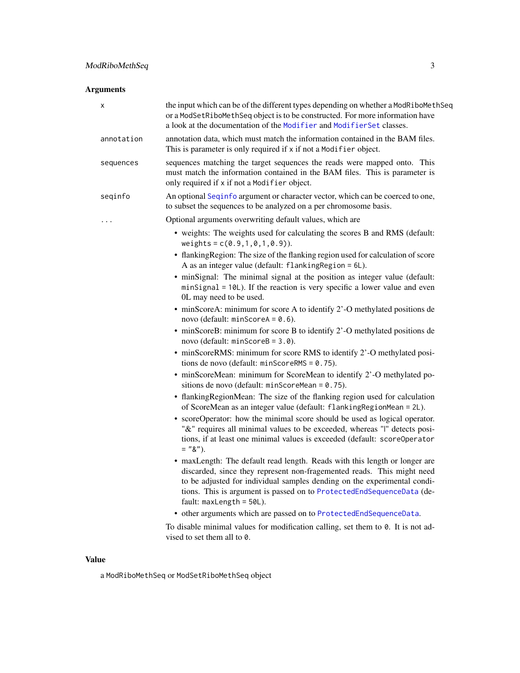## <span id="page-2-0"></span>Arguments

| х          | the input which can be of the different types depending on whether a ModRiboMethSeq<br>or a ModSetRiboMethSeq object is to be constructed. For more information have<br>a look at the documentation of the Modifier and ModifierSet classes.                                                                                             |
|------------|------------------------------------------------------------------------------------------------------------------------------------------------------------------------------------------------------------------------------------------------------------------------------------------------------------------------------------------|
| annotation | annotation data, which must match the information contained in the BAM files.<br>This is parameter is only required if x if not a Modifier object.                                                                                                                                                                                       |
| sequences  | sequences matching the target sequences the reads were mapped onto. This<br>must match the information contained in the BAM files. This is parameter is<br>only required if x if not a Modifier object.                                                                                                                                  |
| seqinfo    | An optional Seqinfo argument or character vector, which can be coerced to one,<br>to subset the sequences to be analyzed on a per chromosome basis.                                                                                                                                                                                      |
| .          | Optional arguments overwriting default values, which are                                                                                                                                                                                                                                                                                 |
|            | • weights: The weights used for calculating the scores B and RMS (default:<br>weights = $c(0.9, 1, 0, 1, 0.9)$ .                                                                                                                                                                                                                         |
|            | • flanking Region: The size of the flanking region used for calculation of score<br>A as an integer value (default: flankingRegion = 6L).                                                                                                                                                                                                |
|            | • minSignal: The minimal signal at the position as integer value (default:<br>minSignal = 10L). If the reaction is very specific a lower value and even<br>0L may need to be used.                                                                                                                                                       |
|            | • minScoreA: minimum for score A to identify 2'-O methylated positions de<br>novo (default: minScoreA = $0.6$ ).                                                                                                                                                                                                                         |
|            | • minScoreB: minimum for score B to identify 2'-O methylated positions de<br>novo (default: $minScoreB = 3.0$ ).                                                                                                                                                                                                                         |
|            | • minScoreRMS: minimum for score RMS to identify 2'-O methylated posi-<br>tions de novo (default: $minScoreRMS = 0.75$ ).                                                                                                                                                                                                                |
|            | • minScoreMean: minimum for ScoreMean to identify 2'-O methylated po-<br>sitions de novo (default: minScoreMean = $0.75$ ).                                                                                                                                                                                                              |
|            | • flanking Region Mean: The size of the flanking region used for calculation<br>of ScoreMean as an integer value (default: flankingRegionMean = 2L).                                                                                                                                                                                     |
|            | • scoreOperator: how the minimal score should be used as logical operator.<br>"&" requires all minimal values to be exceeded, whereas "I" detects posi-<br>tions, if at least one minimal values is exceeded (default: scoreOperator<br>$=$ "&").                                                                                        |
|            | • maxLength: The default read length. Reads with this length or longer are<br>discarded, since they represent non-fragemented reads. This might need<br>to be adjusted for individual samples dending on the experimental condi-<br>tions. This is argument is passed on to ProtectedEndSequenceData (de-<br>fault: $maxLength = 50L$ ). |
|            | • other arguments which are passed on to ProtectedEndSequenceData.                                                                                                                                                                                                                                                                       |
|            | To disable minimal values for modification calling, set them to 0. It is not ad-<br>vised to set them all to 0.                                                                                                                                                                                                                          |

## Value

a ModRiboMethSeq or ModSetRiboMethSeq object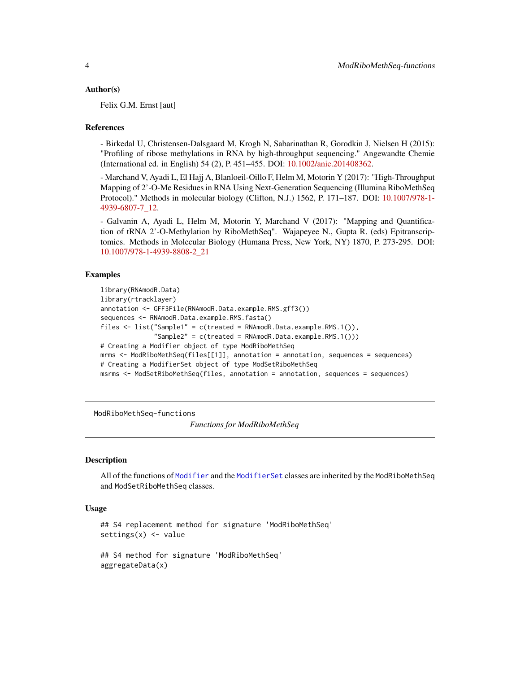#### <span id="page-3-0"></span>Author(s)

Felix G.M. Ernst [aut]

#### References

- Birkedal U, Christensen-Dalsgaard M, Krogh N, Sabarinathan R, Gorodkin J, Nielsen H (2015): "Profiling of ribose methylations in RNA by high-throughput sequencing." Angewandte Chemie (International ed. in English) 54 (2), P. 451–455. DOI: [10.1002/anie.201408362.](https://doi.org/10.1002/anie.201408362)

- Marchand V, Ayadi L, El Hajj A, Blanloeil-Oillo F, Helm M, Motorin Y (2017): "High-Throughput Mapping of 2'-O-Me Residues in RNA Using Next-Generation Sequencing (Illumina RiboMethSeq Protocol)." Methods in molecular biology (Clifton, N.J.) 1562, P. 171–187. DOI: [10.1007/978-1-](https://doi.org/10.1007/978-1-4939-6807-7_12) [4939-6807-7\\_12.](https://doi.org/10.1007/978-1-4939-6807-7_12)

- Galvanin A, Ayadi L, Helm M, Motorin Y, Marchand V (2017): "Mapping and Quantification of tRNA 2'-O-Methylation by RiboMethSeq". Wajapeyee N., Gupta R. (eds) Epitranscriptomics. Methods in Molecular Biology (Humana Press, New York, NY) 1870, P. 273-295. DOI: [10.1007/978-1-4939-8808-2\\_21](https://doi.org/10.1007/978-1-4939-8808-2_21)

#### Examples

```
library(RNAmodR.Data)
library(rtracklayer)
annotation <- GFF3File(RNAmodR.Data.example.RMS.gff3())
sequences <- RNAmodR.Data.example.RMS.fasta()
files <- list("Sample1" = c(treated = RNAmodR.Data.example.RMS.1()),
              "Sample2" = c(treated = RNAmodR.DataFrameaxample.RMS.1())# Creating a Modifier object of type ModRiboMethSeq
mrms <- ModRiboMethSeq(files[[1]], annotation = annotation, sequences = sequences)
# Creating a ModifierSet object of type ModSetRiboMethSeq
msrms <- ModSetRiboMethSeq(files, annotation = annotation, sequences = sequences)
```
ModRiboMethSeq-functions

*Functions for ModRiboMethSeq*

#### <span id="page-3-1"></span>**Description**

All of the functions of [Modifier](#page-0-0) and the [ModifierSet](#page-0-0) classes are inherited by the ModRiboMethSeq and ModSetRiboMethSeq classes.

#### Usage

```
## S4 replacement method for signature 'ModRiboMethSeq'
settings(x) <- value
```

```
## S4 method for signature 'ModRiboMethSeq'
aggregateData(x)
```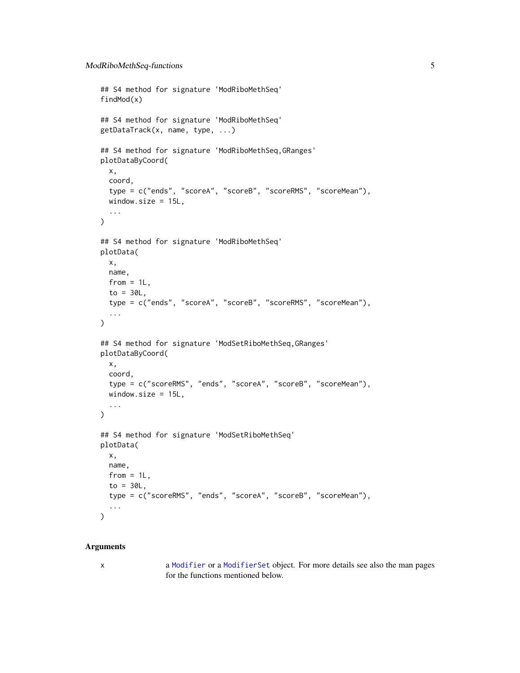```
## S4 method for signature 'ModRiboMethSeq'
findMod(x)
## S4 method for signature 'ModRiboMethSeq'
getDataTrack(x, name, type, ...)
## S4 method for signature 'ModRiboMethSeq,GRanges'
plotDataByCoord(
 x,
 coord,
  type = c("ends", "scoreA", "scoreB", "scoreRMS", "scoreMean"),
 window.size = 15L,
  ...
)
## S4 method for signature 'ModRiboMethSeq'
plotData(
 x,
 name,
  from = 1L,
 to = 30L,
  type = c("ends", "scoreA", "scoreB", "scoreRMS", "scoreMean"),
  ...
\mathcal{L}## S4 method for signature 'ModSetRiboMethSeq, GRanges'
plotDataByCoord(
 x,
 coord,
  type = c("scoreRMS", "ends", "scoreA", "scoreB", "scoreMean"),
 window.size = 15L,
  ...
\mathcal{L}## S4 method for signature 'ModSetRiboMethSeq'
plotData(
 x,
 name,
 from = 1L,
 to = 30L,
  type = c("scoreRMS", "ends", "scoreA", "scoreB", "scoreMean"),
  ...
\mathcal{L}
```
#### Arguments

x a [Modifier](#page-0-0) or a [ModifierSet](#page-0-0) object. For more details see also the man pages for the functions mentioned below.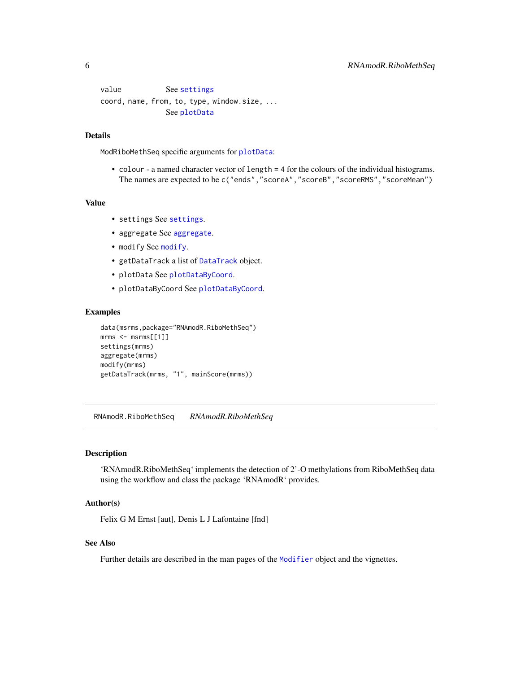```
settings
coord, name, from, to, type, window.size, ...
            See plotData
```
#### Details

ModRiboMethSeq specific arguments for [plotData](#page-3-1):

• colour - a named character vector of length = 4 for the colours of the individual histograms. The names are expected to be c("ends","scoreA","scoreB","scoreRMS","scoreMean")

#### Value

- settings See [settings](#page-3-1).
- aggregate See [aggregate](#page-3-1).
- modify See [modify](#page-3-1).
- getDataTrack a list of [DataTrack](#page-0-0) object.
- plotData See [plotDataByCoord](#page-3-1).
- plotDataByCoord See [plotDataByCoord](#page-3-1).

#### Examples

```
data(msrms,package="RNAmodR.RiboMethSeq")
mrms < - msrms[1]settings(mrms)
aggregate(mrms)
modify(mrms)
getDataTrack(mrms, "1", mainScore(mrms))
```
RNAmodR.RiboMethSeq *RNAmodR.RiboMethSeq*

### Description

'RNAmodR.RiboMethSeq' implements the detection of 2'-O methylations from RiboMethSeq data using the workflow and class the package 'RNAmodR' provides.

#### Author(s)

Felix G M Ernst [aut], Denis L J Lafontaine [fnd]

#### See Also

Further details are described in the man pages of the [Modifier](#page-0-0) object and the vignettes.

<span id="page-5-0"></span>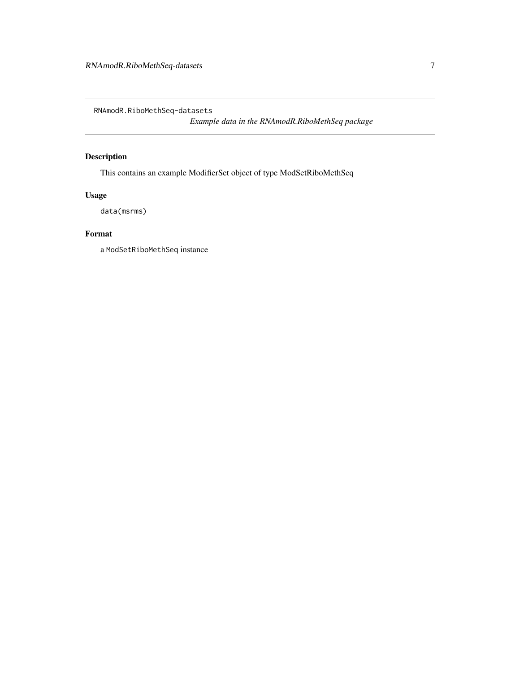<span id="page-6-0"></span>RNAmodR.RiboMethSeq-datasets

*Example data in the RNAmodR.RiboMethSeq package*

## Description

This contains an example ModifierSet object of type ModSetRiboMethSeq

## Usage

data(msrms)

## Format

a ModSetRiboMethSeq instance